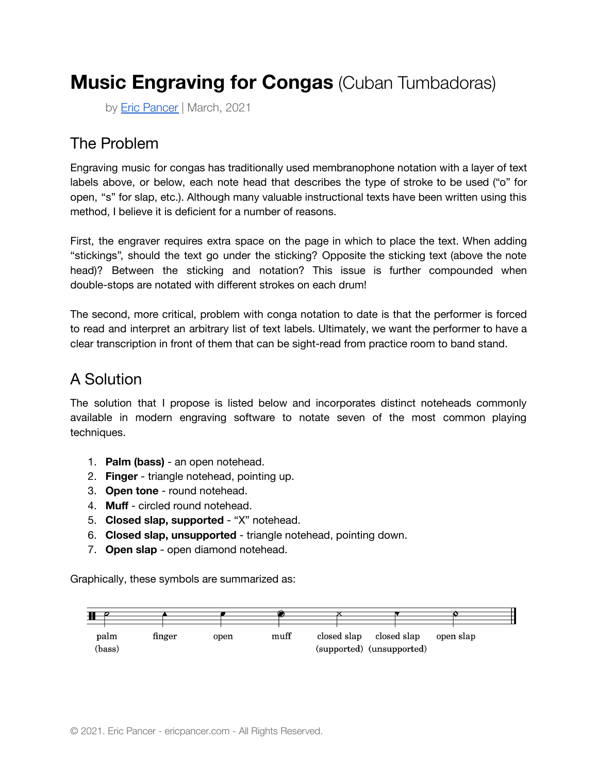# **Music Engraving for Congas** (Cuban Tumbadoras)

by **[Eric Pancer](http://ericpancer.com)** | March, 2021

### The Problem

Engraving music for congas has traditionally used membranophone notation with a layer of text labels above, or below, each note head that describes the type of stroke to be used ("o" for open, "s" for slap, etc.). Although many valuable instructional texts have been written using this method, I believe it is deficient for a number of reasons.

First, the engraver requires extra space on the page in which to place the text. When adding "stickings", should the text go under the sticking? Opposite the sticking text (above the note head)? Between the sticking and notation? This issue is further compounded when double-stops are notated with different strokes on each drum!

The second, more critical, problem with conga notation to date is that the performer is forced to read and interpret an arbitrary list of text labels. Ultimately, we want the performer to have a clear transcription in front of them that can be sight-read from practice room to band stand.

### A Solution

The solution that I propose is listed below and incorporates distinct noteheads commonly available in modern engraving software to notate seven of the most common playing techniques.

- 1. **Palm (bass)** an open notehead.
- 2. **Finger** triangle notehead, pointing up.
- 3. **Open tone** round notehead.
- 4. **Muff** circled round notehead.
- 5. **Closed slap, supported** "X" notehead.
- 6. **Closed slap, unsupported** triangle notehead, pointing down.
- 7. **Open slap** open diamond notehead.

Graphically, these symbols are summarized as:

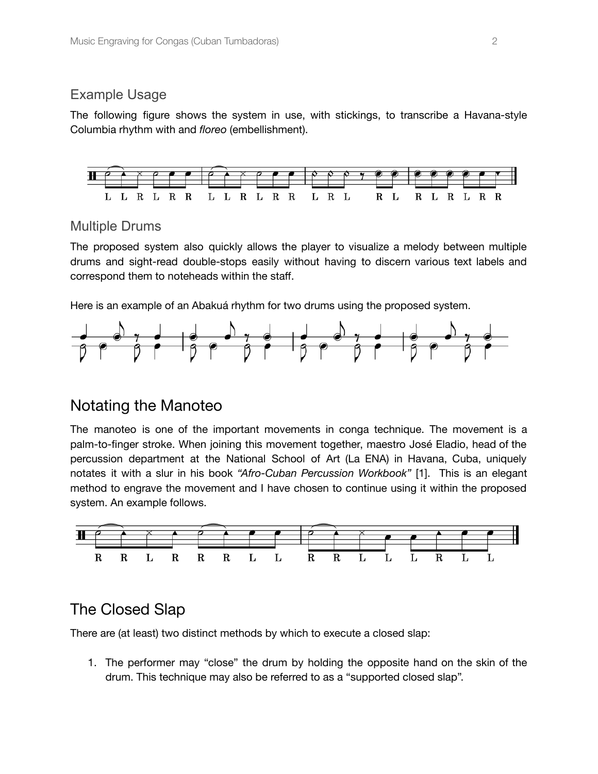#### Example Usage

The following figure shows the system in use, with stickings, to transcribe a Havana-style Columbia rhythm with and *floreo* (embellishment).



#### Multiple Drums

The proposed system also quickly allows the player to visualize a melody between multiple drums and sight-read double-stops easily without having to discern various text labels and correspond them to noteheads within the staff.

Here is an example of an Abakuá rhythm for two drums using the proposed system.



### Notating the Manoteo

The manoteo is one of the important movements in conga technique. The movement is a palm-to-finger stroke. When joining this movement together, maestro José Eladio, head of the percussion department at the National School of Art (La ENA) in Havana, Cuba, uniquely notates it with a slur in his book *"Afro-Cuban Percussion Workbook"* [1]. This is an elegant method to engrave the movement and I have chosen to continue using it within the proposed system. An example follows.



### The Closed Slap

There are (at least) two distinct methods by which to execute a closed slap:

1. The performer may "close" the drum by holding the opposite hand on the skin of the drum. This technique may also be referred to as a "supported closed slap".